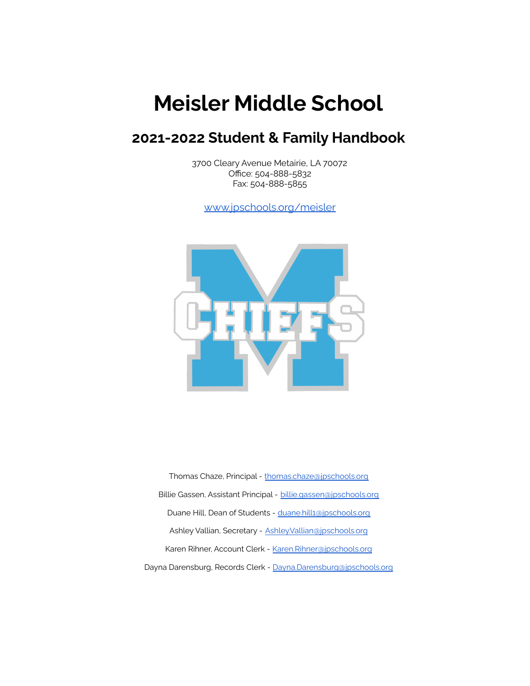# **Meisler Middle School**

# **2021-2022 Student & Family Handbook**

3700 Cleary Avenue Metairie, LA 70072 Office: 504-888-5832 Fax: 504-888-5855

[www.jpschools.org/meisler](https://www.jpschools.org/meisler)



Thomas Chaze, Principal - [thomas.chaze@jpschools.org](mailto:thomas.chaze@jpschools.org) Billie Gassen, Assistant Principal - [billie.gassen@jpschools.org](mailto:billie.gassen@jpschools.org) Duane Hill, Dean of Students - [duane.hill1@jpschools.org](mailto:duane.hill1@jpschools.org) Ashley Vallian, Secretary - [Ashley.Vallian@jpschools.org](mailto:Ashley.Vallian@jpschools.org) Karen Rihner, Account Clerk - [Karen.Rihner@jpschools.org](mailto:Karen.Rhiner@jpschools.org) Dayna Darensburg, Records Clerk - [Dayna.Darensburg@jpschools.org](mailto:Dayna.Darensburg@jpschools.org)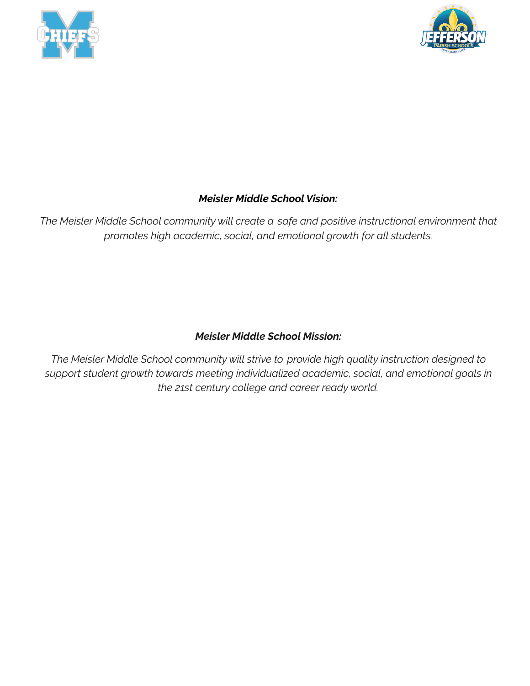



# *Meisler Middle School Vision:*

*The Meisler Middle School community will create a safe and positive instructional environment that promotes high academic, social, and emotional growth for all students.*

# *Meisler Middle School Mission:*

*The Meisler Middle School community will strive to provide high quality instruction designed to support student growth towards meeting individualized academic, social, and emotional goals in the 21st century college and career ready world.*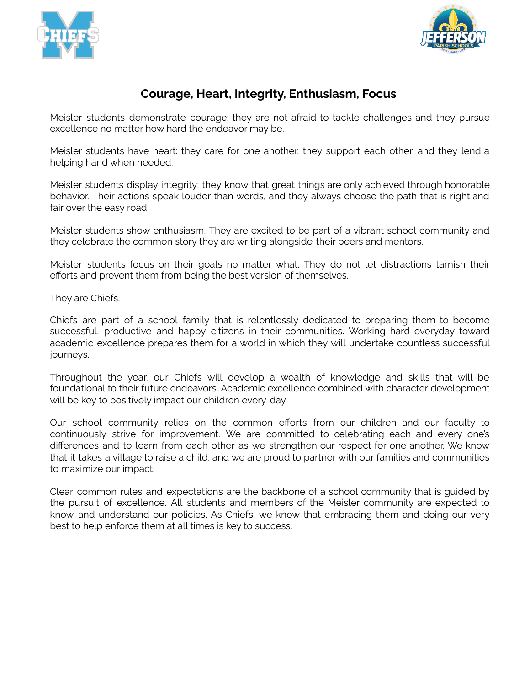



# **Courage, Heart, Integrity, Enthusiasm, Focus**

Meisler students demonstrate courage: they are not afraid to tackle challenges and they pursue excellence no matter how hard the endeavor may be.

Meisler students have heart: they care for one another, they support each other, and they lend a helping hand when needed.

Meisler students display integrity: they know that great things are only achieved through honorable behavior. Their actions speak louder than words, and they always choose the path that is right and fair over the easy road.

Meisler students show enthusiasm. They are excited to be part of a vibrant school community and they celebrate the common story they are writing alongside their peers and mentors.

Meisler students focus on their goals no matter what. They do not let distractions tarnish their efforts and prevent them from being the best version of themselves.

They are Chiefs.

Chiefs are part of a school family that is relentlessly dedicated to preparing them to become successful, productive and happy citizens in their communities. Working hard everyday toward academic excellence prepares them for a world in which they will undertake countless successful journeys.

Throughout the year, our Chiefs will develop a wealth of knowledge and skills that will be foundational to their future endeavors. Academic excellence combined with character development will be key to positively impact our children every day.

Our school community relies on the common efforts from our children and our faculty to continuously strive for improvement. We are committed to celebrating each and every one's differences and to learn from each other as we strengthen our respect for one another. We know that it takes a village to raise a child, and we are proud to partner with our families and communities to maximize our impact.

Clear common rules and expectations are the backbone of a school community that is guided by the pursuit of excellence. All students and members of the Meisler community are expected to know and understand our policies. As Chiefs, we know that embracing them and doing our very best to help enforce them at all times is key to success.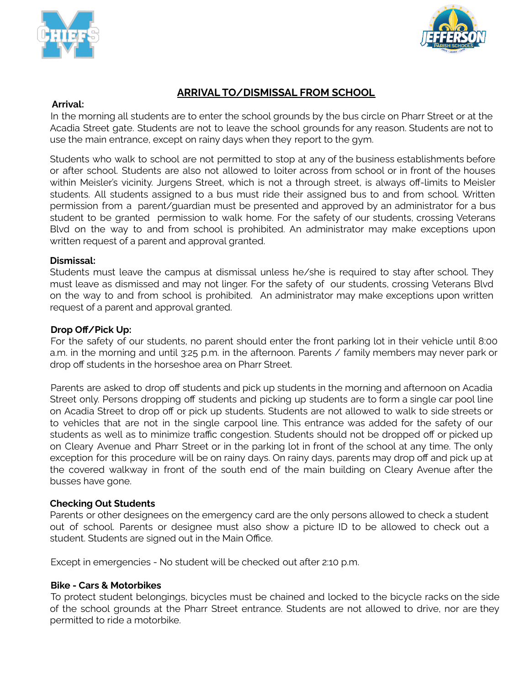



# **ARRIVAL TO/DISMISSAL FROM SCHOOL**

#### **Arrival:**

In the morning all students are to enter the school grounds by the bus circle on Pharr Street or at the Acadia Street gate. Students are not to leave the school grounds for any reason. Students are not to use the main entrance, except on rainy days when they report to the gym.

Students who walk to school are not permitted to stop at any of the business establishments before or after school. Students are also not allowed to loiter across from school or in front of the houses within Meisler's vicinity. Jurgens Street, which is not a through street, is always off-limits to Meisler students. All students assigned to a bus must ride their assigned bus to and from school. Written permission from a parent/guardian must be presented and approved by an administrator for a bus student to be granted permission to walk home. For the safety of our students, crossing Veterans Blvd on the way to and from school is prohibited. An administrator may make exceptions upon written request of a parent and approval granted.

#### **Dismissal:**

Students must leave the campus at dismissal unless he/she is required to stay after school. They must leave as dismissed and may not linger. For the safety of our students, crossing Veterans Blvd on the way to and from school is prohibited. An administrator may make exceptions upon written request of a parent and approval granted.

#### **Drop Off/Pick Up:**

For the safety of our students, no parent should enter the front parking lot in their vehicle until 8:00 a.m. in the morning and until 3:25 p.m. in the afternoon. Parents / family members may never park or drop off students in the horseshoe area on Pharr Street.

Parents are asked to drop off students and pick up students in the morning and afternoon on Acadia Street only. Persons dropping off students and picking up students are to form a single car pool line on Acadia Street to drop off or pick up students. Students are not allowed to walk to side streets or to vehicles that are not in the single carpool line. This entrance was added for the safety of our students as well as to minimize traffic congestion. Students should not be dropped off or picked up on Cleary Avenue and Pharr Street or in the parking lot in front of the school at any time. The only exception for this procedure will be on rainy days. On rainy days, parents may drop off and pick up at the covered walkway in front of the south end of the main building on Cleary Avenue after the busses have gone.

## **Checking Out Students**

Parents or other designees on the emergency card are the only persons allowed to check a student out of school. Parents or designee must also show a picture ID to be allowed to check out a student. Students are signed out in the Main Office.

Except in emergencies - No student will be checked out after 2:10 p.m.

## **Bike - Cars & Motorbikes**

To protect student belongings, bicycles must be chained and locked to the bicycle racks on the side of the school grounds at the Pharr Street entrance. Students are not allowed to drive, nor are they permitted to ride a motorbike.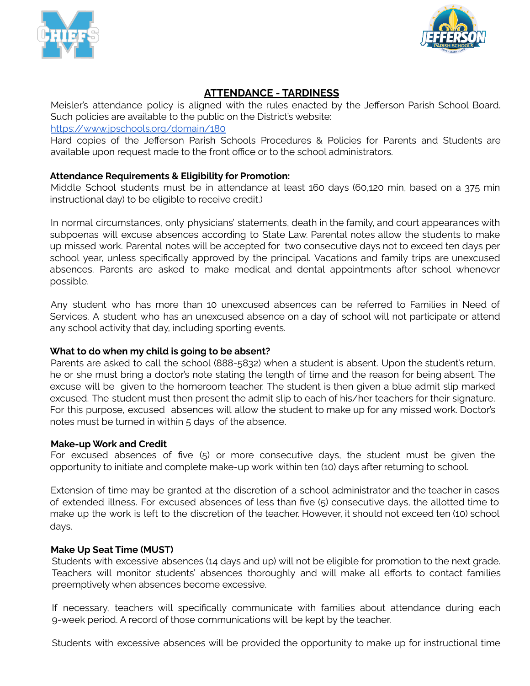



# **ATTENDANCE - TARDINESS**

Meisler's attendance policy is aligned with the rules enacted by the Jefferson Parish School Board. Such policies are available to the public on the District's website:

<https://www.jpschools.org/domain/180>

Hard copies of the Jefferson Parish Schools Procedures & Policies for Parents and Students are available upon request made to the front office or to the school administrators.

# **Attendance Requirements & Eligibility for Promotion:**

Middle School students must be in attendance at least 160 days (60,120 min, based on a 375 min instructional day) to be eligible to receive credit.)

In normal circumstances, only physicians' statements, death in the family, and court appearances with subpoenas will excuse absences according to State Law. Parental notes allow the students to make up missed work. Parental notes will be accepted for two consecutive days not to exceed ten days per school year, unless specifically approved by the principal. Vacations and family trips are unexcused absences. Parents are asked to make medical and dental appointments after school whenever possible.

Any student who has more than 10 unexcused absences can be referred to Families in Need of Services. A student who has an unexcused absence on a day of school will not participate or attend any school activity that day, including sporting events.

## **What to do when my child is going to be absent?**

Parents are asked to call the school (888-5832) when a student is absent. Upon the student's return, he or she must bring a doctor's note stating the length of time and the reason for being absent. The excuse will be given to the homeroom teacher. The student is then given a blue admit slip marked excused. The student must then present the admit slip to each of his/her teachers for their signature. For this purpose, excused absences will allow the student to make up for any missed work. Doctor's notes must be turned in within 5 days of the absence.

#### **Make-up Work and Credit**

For excused absences of five (5) or more consecutive days, the student must be given the opportunity to initiate and complete make-up work within ten (10) days after returning to school.

Extension of time may be granted at the discretion of a school administrator and the teacher in cases of extended illness. For excused absences of less than five (5) consecutive days, the allotted time to make up the work is left to the discretion of the teacher. However, it should not exceed ten (10) school days.

## **Make Up Seat Time (MUST)**

Students with excessive absences (14 days and up) will not be eligible for promotion to the next grade. Teachers will monitor students' absences thoroughly and will make all efforts to contact families preemptively when absences become excessive.

If necessary, teachers will specifically communicate with families about attendance during each 9-week period. A record of those communications will be kept by the teacher.

Students with excessive absences will be provided the opportunity to make up for instructional time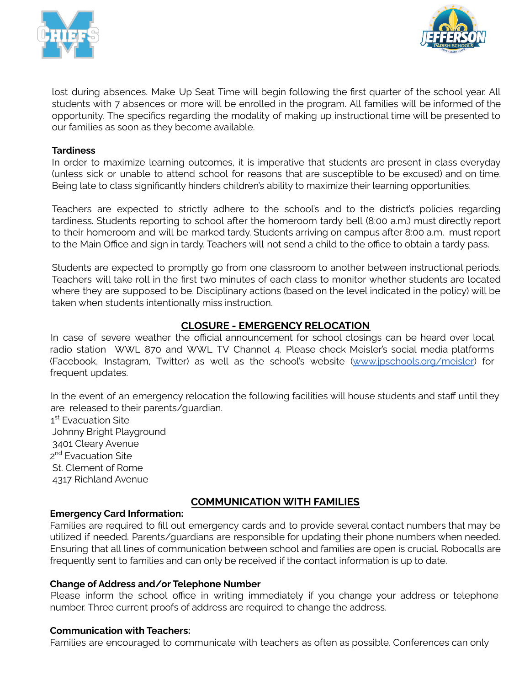



lost during absences. Make Up Seat Time will begin following the first quarter of the school year. All students with 7 absences or more will be enrolled in the program. All families will be informed of the opportunity. The specifics regarding the modality of making up instructional time will be presented to our families as soon as they become available.

#### **Tardiness**

In order to maximize learning outcomes, it is imperative that students are present in class everyday (unless sick or unable to attend school for reasons that are susceptible to be excused) and on time. Being late to class significantly hinders children's ability to maximize their learning opportunities.

Teachers are expected to strictly adhere to the school's and to the district's policies regarding tardiness. Students reporting to school after the homeroom tardy bell (8:00 a.m.) must directly report to their homeroom and will be marked tardy. Students arriving on campus after 8:00 a.m. must report to the Main Office and sign in tardy. Teachers will not send a child to the office to obtain a tardy pass.

Students are expected to promptly go from one classroom to another between instructional periods. Teachers will take roll in the first two minutes of each class to monitor whether students are located where they are supposed to be. Disciplinary actions (based on the level indicated in the policy) will be taken when students intentionally miss instruction.

## **CLOSURE - EMERGENCY RELOCATION**

In case of severe weather the official announcement for school closings can be heard over local radio station WWL 870 and WWL TV Channel 4. Please check Meisler's social media platforms (Facebook, Instagram, Twitter) as well as the school's website ([www.jpschools.org/meisler\)](http://www.jpschools.org/meisler) for frequent updates.

In the event of an emergency relocation the following facilities will house students and staff until they are released to their parents/guardian.

1<sup>st</sup> Evacuation Site Johnny Bright Playground 3401 Cleary Avenue 2<sup>nd</sup> Evacuation Site St. Clement of Rome 4317 Richland Avenue

# **COMMUNICATION WITH FAMILIES**

#### **Emergency Card Information:**

Families are required to fill out emergency cards and to provide several contact numbers that may be utilized if needed. Parents/guardians are responsible for updating their phone numbers when needed. Ensuring that all lines of communication between school and families are open is crucial. Robocalls are frequently sent to families and can only be received if the contact information is up to date.

#### **Change of Address and/or Telephone Number**

Please inform the school office in writing immediately if you change your address or telephone number. Three current proofs of address are required to change the address.

#### **Communication with Teachers:**

Families are encouraged to communicate with teachers as often as possible. Conferences can only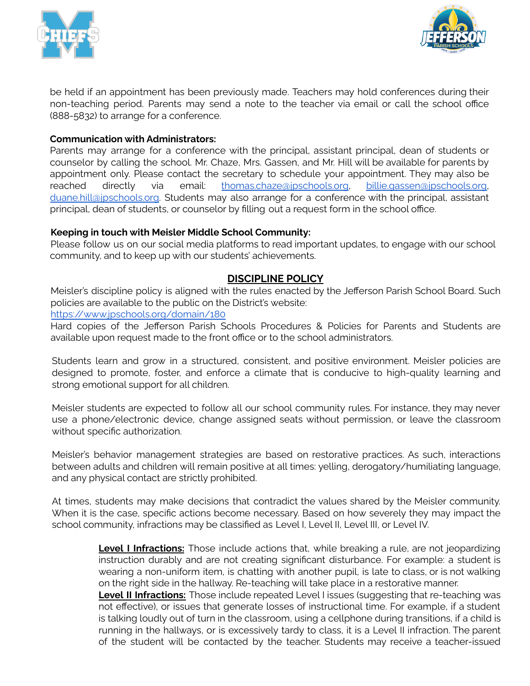



be held if an appointment has been previously made. Teachers may hold conferences during their non-teaching period. Parents may send a note to the teacher via email or call the school office (888-5832) to arrange for a conference.

#### **Communication with Administrators:**

Parents may arrange for a conference with the principal, assistant principal, dean of students or counselor by calling the school. Mr. Chaze, Mrs. Gassen, and Mr. Hill will be available for parents by appointment only. Please contact the secretary to schedule your appointment. They may also be reached directly via email: [thomas.chaze@jpschools.org,](mailto:thomas.chaze@jpschools.org) [billie.gassen@jpschools.org,](mailto:billie.gassen@jpschools.org) [duane.hill@jpschools.org.](mailto:duane.hill@jpschools.org) Students may also arrange for a conference with the principal, assistant principal, dean of students, or counselor by filling out a request form in the school office.

## **Keeping in touch with Meisler Middle School Community:**

Please follow us on our social media platforms to read important updates, to engage with our school community, and to keep up with our students' achievements.

# **DISCIPLINE POLICY**

Meisler's discipline policy is aligned with the rules enacted by the Jefferson Parish School Board. Such policies are available to the public on the District's website:

<https://www.jpschools.org/domain/180>

Hard copies of the Jefferson Parish Schools Procedures & Policies for Parents and Students are available upon request made to the front office or to the school administrators.

Students learn and grow in a structured, consistent, and positive environment. Meisler policies are designed to promote, foster, and enforce a climate that is conducive to high-quality learning and strong emotional support for all children.

Meisler students are expected to follow all our school community rules. For instance, they may never use a phone/electronic device, change assigned seats without permission, or leave the classroom without specific authorization.

Meisler's behavior management strategies are based on restorative practices. As such, interactions between adults and children will remain positive at all times: yelling, derogatory/humiliating language, and any physical contact are strictly prohibited.

At times, students may make decisions that contradict the values shared by the Meisler community. When it is the case, specific actions become necessary. Based on how severely they may impact the school community, infractions may be classified as Level I, Level II, Level III, or Level IV.

> **Level I Infractions:** Those include actions that, while breaking a rule, are not jeopardizing instruction durably and are not creating significant disturbance. For example: a student is wearing a non-uniform item, is chatting with another pupil, is late to class, or is not walking on the right side in the hallway. Re-teaching will take place in a restorative manner.

> **Level II Infractions:** Those include repeated Level I issues (suggesting that re-teaching was not effective), or issues that generate losses of instructional time. For example, if a student is talking loudly out of turn in the classroom, using a cellphone during transitions, if a child is running in the hallways, or is excessively tardy to class, it is a Level II infraction. The parent of the student will be contacted by the teacher. Students may receive a teacher-issued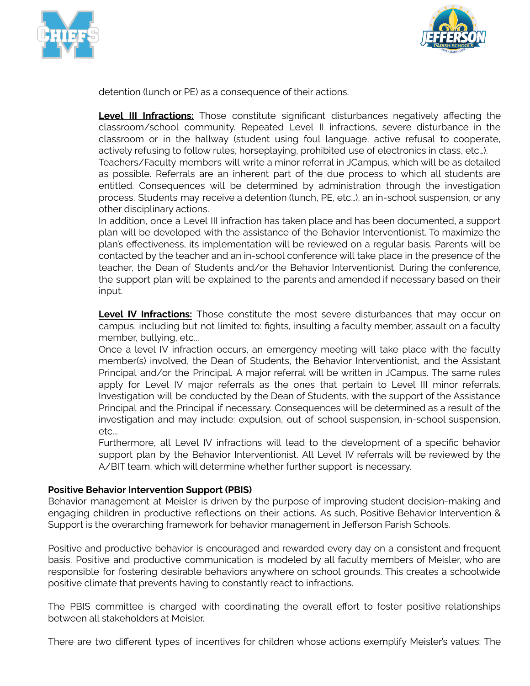



detention (lunch or PE) as a consequence of their actions.

**Level III Infractions:** Those constitute significant disturbances negatively affecting the classroom/school community. Repeated Level II infractions, severe disturbance in the classroom or in the hallway (student using foul language, active refusal to cooperate, actively refusing to follow rules, horseplaying, prohibited use of electronics in class, etc…).

Teachers/Faculty members will write a minor referral in JCampus, which will be as detailed as possible. Referrals are an inherent part of the due process to which all students are entitled. Consequences will be determined by administration through the investigation process. Students may receive a detention (lunch, PE, etc…), an in-school suspension, or any other disciplinary actions.

In addition, once a Level III infraction has taken place and has been documented, a support plan will be developed with the assistance of the Behavior Interventionist. To maximize the plan's effectiveness, its implementation will be reviewed on a regular basis. Parents will be contacted by the teacher and an in-school conference will take place in the presence of the teacher, the Dean of Students and/or the Behavior Interventionist. During the conference, the support plan will be explained to the parents and amended if necessary based on their input.

**Level IV Infractions:** Those constitute the most severe disturbances that may occur on campus, including but not limited to: fights, insulting a faculty member, assault on a faculty member, bullying, etc...

Once a level IV infraction occurs, an emergency meeting will take place with the faculty member(s) involved, the Dean of Students, the Behavior Interventionist, and the Assistant Principal and/or the Principal. A major referral will be written in JCampus. The same rules apply for Level IV major referrals as the ones that pertain to Level III minor referrals. Investigation will be conducted by the Dean of Students, with the support of the Assistance Principal and the Principal if necessary. Consequences will be determined as a result of the investigation and may include: expulsion, out of school suspension, in-school suspension, etc...

Furthermore, all Level IV infractions will lead to the development of a specific behavior support plan by the Behavior Interventionist. All Level IV referrals will be reviewed by the A/BIT team, which will determine whether further support is necessary.

#### **Positive Behavior Intervention Support (PBIS)**

Behavior management at Meisler is driven by the purpose of improving student decision-making and engaging children in productive reflections on their actions. As such, Positive Behavior Intervention & Support is the overarching framework for behavior management in Jefferson Parish Schools.

Positive and productive behavior is encouraged and rewarded every day on a consistent and frequent basis. Positive and productive communication is modeled by all faculty members of Meisler, who are responsible for fostering desirable behaviors anywhere on school grounds. This creates a schoolwide positive climate that prevents having to constantly react to infractions.

The PBIS committee is charged with coordinating the overall effort to foster positive relationships between all stakeholders at Meisler.

There are two different types of incentives for children whose actions exemplify Meisler's values: The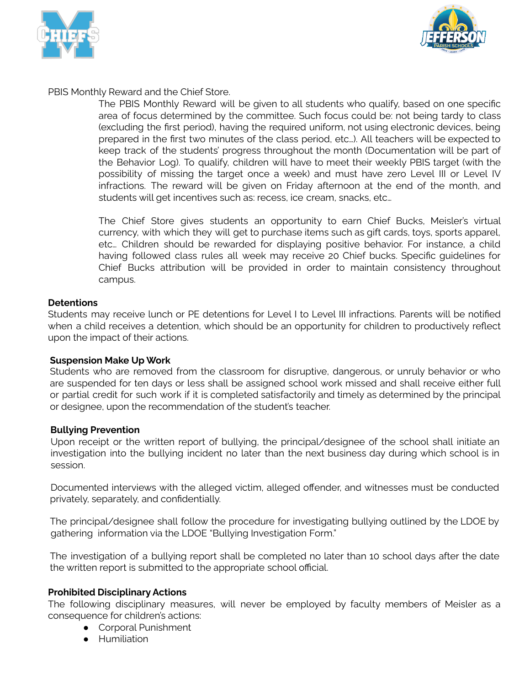



PBIS Monthly Reward and the Chief Store.

The PBIS Monthly Reward will be given to all students who qualify, based on one specific area of focus determined by the committee. Such focus could be: not being tardy to class (excluding the first period), having the required uniform, not using electronic devices, being prepared in the first two minutes of the class period, etc…). All teachers will be expected to keep track of the students' progress throughout the month (Documentation will be part of the Behavior Log). To qualify, children will have to meet their weekly PBIS target (with the possibility of missing the target once a week) and must have zero Level III or Level IV infractions. The reward will be given on Friday afternoon at the end of the month, and students will get incentives such as: recess, ice cream, snacks, etc…

The Chief Store gives students an opportunity to earn Chief Bucks, Meisler's virtual currency, with which they will get to purchase items such as gift cards, toys, sports apparel, etc… Children should be rewarded for displaying positive behavior. For instance, a child having followed class rules all week may receive 20 Chief bucks. Specific guidelines for Chief Bucks attribution will be provided in order to maintain consistency throughout campus.

## **Detentions**

Students may receive lunch or PE detentions for Level I to Level III infractions. Parents will be notified when a child receives a detention, which should be an opportunity for children to productively reflect upon the impact of their actions.

#### **Suspension Make Up Work**

Students who are removed from the classroom for disruptive, dangerous, or unruly behavior or who are suspended for ten days or less shall be assigned school work missed and shall receive either full or partial credit for such work if it is completed satisfactorily and timely as determined by the principal or designee, upon the recommendation of the student's teacher.

#### **Bullying Prevention**

Upon receipt or the written report of bullying, the principal/designee of the school shall initiate an investigation into the bullying incident no later than the next business day during which school is in session.

Documented interviews with the alleged victim, alleged offender, and witnesses must be conducted privately, separately, and confidentially.

The principal/designee shall follow the procedure for investigating bullying outlined by the LDOE by gathering information via the LDOE "Bullying Investigation Form."

The investigation of a bullying report shall be completed no later than 10 school days after the date the written report is submitted to the appropriate school official.

## **Prohibited Disciplinary Actions**

The following disciplinary measures, will never be employed by faculty members of Meisler as a consequence for children's actions:

- Corporal Punishment
- Humiliation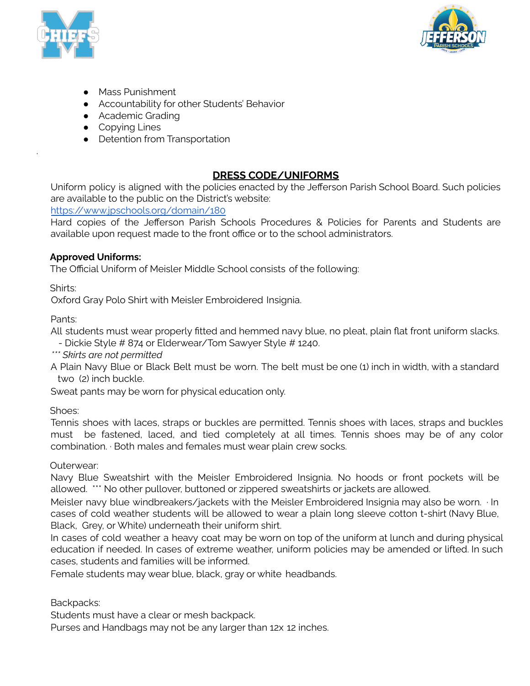



- Mass Punishment
- Accountability for other Students' Behavior
- Academic Grading
- Copying Lines
- Detention from Transportation

# **DRESS CODE/UNIFORMS**

Uniform policy is aligned with the policies enacted by the Jefferson Parish School Board. Such policies are available to the public on the District's website:

<https://www.jpschools.org/domain/180>

Hard copies of the Jefferson Parish Schools Procedures & Policies for Parents and Students are available upon request made to the front office or to the school administrators.

## **Approved Uniforms:**

The Official Uniform of Meisler Middle School consists of the following:

Shirts:

.

Oxford Gray Polo Shirt with Meisler Embroidered Insignia.

Pants:

All students must wear properly fitted and hemmed navy blue, no pleat, plain flat front uniform slacks.

- Dickie Style # 874 or Elderwear/Tom Sawyer Style # 1240.

*\*\*\* Skirts are not permitted*

A Plain Navy Blue or Black Belt must be worn. The belt must be one (1) inch in width, with a standard two (2) inch buckle.

Sweat pants may be worn for physical education only.

Shoes:

Tennis shoes with laces, straps or buckles are permitted. Tennis shoes with laces, straps and buckles must be fastened, laced, and tied completely at all times. Tennis shoes may be of any color combination. ∙ Both males and females must wear plain crew socks.

Outerwear:

Navy Blue Sweatshirt with the Meisler Embroidered Insignia. No hoods or front pockets will be allowed. \*\*\* No other pullover, buttoned or zippered sweatshirts or jackets are allowed.

Meisler navy blue windbreakers/jackets with the Meisler Embroidered Insignia may also be worn. ∙ In cases of cold weather students will be allowed to wear a plain long sleeve cotton t-shirt (Navy Blue, Black, Grey, or White) underneath their uniform shirt.

In cases of cold weather a heavy coat may be worn on top of the uniform at lunch and during physical education if needed. In cases of extreme weather, uniform policies may be amended or lifted. In such cases, students and families will be informed.

Female students may wear blue, black, gray or white headbands.

Backpacks:

Students must have a clear or mesh backpack.

Purses and Handbags may not be any larger than 12x 12 inches.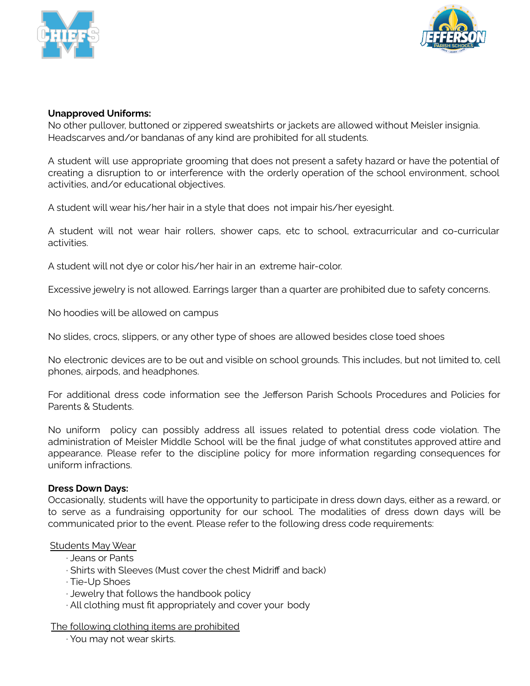



## **Unapproved Uniforms:**

No other pullover, buttoned or zippered sweatshirts or jackets are allowed without Meisler insignia. Headscarves and/or bandanas of any kind are prohibited for all students.

A student will use appropriate grooming that does not present a safety hazard or have the potential of creating a disruption to or interference with the orderly operation of the school environment, school activities, and/or educational objectives.

A student will wear his/her hair in a style that does not impair his/her eyesight.

A student will not wear hair rollers, shower caps, etc to school, extracurricular and co-curricular activities.

A student will not dye or color his/her hair in an extreme hair-color.

Excessive jewelry is not allowed. Earrings larger than a quarter are prohibited due to safety concerns.

No hoodies will be allowed on campus

No slides, crocs, slippers, or any other type of shoes are allowed besides close toed shoes

No electronic devices are to be out and visible on school grounds. This includes, but not limited to, cell phones, airpods, and headphones.

For additional dress code information see the Jefferson Parish Schools Procedures and Policies for Parents & Students.

No uniform policy can possibly address all issues related to potential dress code violation. The administration of Meisler Middle School will be the final judge of what constitutes approved attire and appearance. Please refer to the discipline policy for more information regarding consequences for uniform infractions.

#### **Dress Down Days:**

Occasionally, students will have the opportunity to participate in dress down days, either as a reward, or to serve as a fundraising opportunity for our school. The modalities of dress down days will be communicated prior to the event. Please refer to the following dress code requirements:

#### Students May Wear

- ∙ Jeans or Pants
- ∙ Shirts with Sleeves (Must cover the chest Midriff and back)
- ∙ Tie-Up Shoes
- ∙ Jewelry that follows the handbook policy
- ∙ All clothing must fit appropriately and cover your body

The following clothing items are prohibited

∙ You may not wear skirts.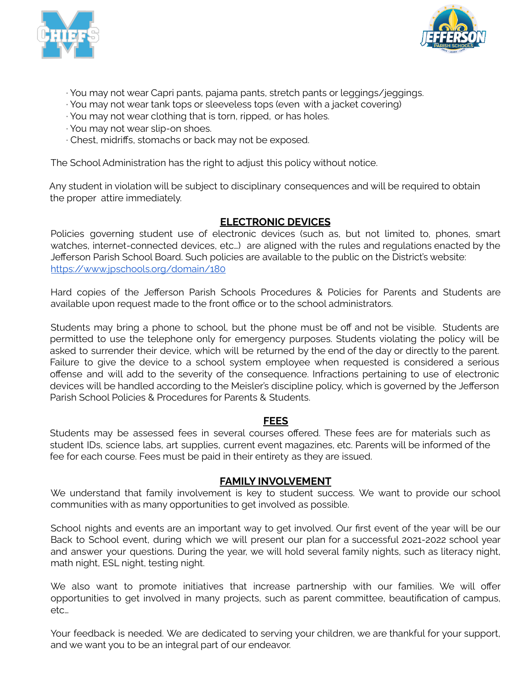



- ∙ You may not wear Capri pants, pajama pants, stretch pants or leggings/jeggings.
- ∙ You may not wear tank tops or sleeveless tops (even with a jacket covering)
- ∙ You may not wear clothing that is torn, ripped, or has holes.
- ∙ You may not wear slip-on shoes.
- ∙ Chest, midriffs, stomachs or back may not be exposed.

The School Administration has the right to adjust this policy without notice.

Any student in violation will be subject to disciplinary consequences and will be required to obtain the proper attire immediately.

# **ELECTRONIC DEVICES**

Policies governing student use of electronic devices (such as, but not limited to, phones, smart watches, internet-connected devices, etc…) are aligned with the rules and regulations enacted by the Jefferson Parish School Board. Such policies are available to the public on the District's website: <https://www.jpschools.org/domain/180>

Hard copies of the Jefferson Parish Schools Procedures & Policies for Parents and Students are available upon request made to the front office or to the school administrators.

Students may bring a phone to school, but the phone must be off and not be visible. Students are permitted to use the telephone only for emergency purposes. Students violating the policy will be asked to surrender their device, which will be returned by the end of the day or directly to the parent. Failure to give the device to a school system employee when requested is considered a serious offense and will add to the severity of the consequence. Infractions pertaining to use of electronic devices will be handled according to the Meisler's discipline policy, which is governed by the Jefferson Parish School Policies & Procedures for Parents & Students.

## **FEES**

Students may be assessed fees in several courses offered. These fees are for materials such as student IDs, science labs, art supplies, current event magazines, etc. Parents will be informed of the fee for each course. Fees must be paid in their entirety as they are issued.

## **FAMILY INVOLVEMENT**

We understand that family involvement is key to student success. We want to provide our school communities with as many opportunities to get involved as possible.

School nights and events are an important way to get involved. Our first event of the year will be our Back to School event, during which we will present our plan for a successful 2021-2022 school year and answer your questions. During the year, we will hold several family nights, such as literacy night, math night, ESL night, testing night.

We also want to promote initiatives that increase partnership with our families. We will offer opportunities to get involved in many projects, such as parent committee, beautification of campus, etc…

Your feedback is needed. We are dedicated to serving your children, we are thankful for your support, and we want you to be an integral part of our endeavor.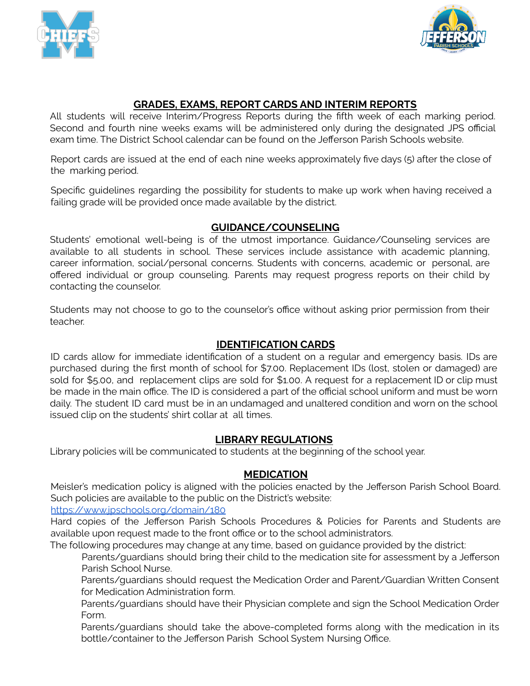



# **GRADES, EXAMS, REPORT CARDS AND INTERIM REPORTS**

All students will receive Interim/Progress Reports during the fifth week of each marking period. Second and fourth nine weeks exams will be administered only during the designated JPS official exam time. The District School calendar can be found on the Jefferson Parish Schools website.

Report cards are issued at the end of each nine weeks approximately five days (5) after the close of the marking period.

Specific guidelines regarding the possibility for students to make up work when having received a failing grade will be provided once made available by the district.

# **GUIDANCE/COUNSELING**

Students' emotional well-being is of the utmost importance. Guidance/Counseling services are available to all students in school. These services include assistance with academic planning, career information, social/personal concerns. Students with concerns, academic or personal, are offered individual or group counseling. Parents may request progress reports on their child by contacting the counselor.

Students may not choose to go to the counselor's office without asking prior permission from their teacher.

## **IDENTIFICATION CARDS**

ID cards allow for immediate identification of a student on a regular and emergency basis. IDs are purchased during the first month of school for \$7.00. Replacement IDs (lost, stolen or damaged) are sold for \$5.00, and replacement clips are sold for \$1.00. A request for a replacement ID or clip must be made in the main office. The ID is considered a part of the official school uniform and must be worn daily. The student ID card must be in an undamaged and unaltered condition and worn on the school issued clip on the students' shirt collar at all times.

# **LIBRARY REGULATIONS**

Library policies will be communicated to students at the beginning of the school year.

## **MEDICATION**

Meisler's medication policy is aligned with the policies enacted by the Jefferson Parish School Board. Such policies are available to the public on the District's website:

# <https://www.jpschools.org/domain/180>

Hard copies of the Jefferson Parish Schools Procedures & Policies for Parents and Students are available upon request made to the front office or to the school administrators.

The following procedures may change at any time, based on guidance provided by the district:

Parents/guardians should bring their child to the medication site for assessment by a Jefferson Parish School Nurse.

Parents/guardians should request the Medication Order and Parent/Guardian Written Consent for Medication Administration form.

Parents/guardians should have their Physician complete and sign the School Medication Order Form.

Parents/guardians should take the above-completed forms along with the medication in its bottle/container to the Jefferson Parish School System Nursing Office.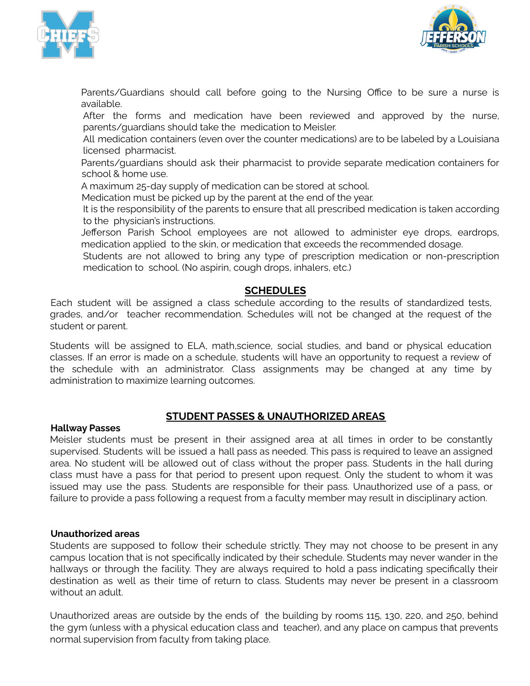



Parents/Guardians should call before going to the Nursing Office to be sure a nurse is available.

After the forms and medication have been reviewed and approved by the nurse, parents/guardians should take the medication to Meisler.

All medication containers (even over the counter medications) are to be labeled by a Louisiana licensed pharmacist.

Parents/guardians should ask their pharmacist to provide separate medication containers for school & home use.

A maximum 25-day supply of medication can be stored at school.

Medication must be picked up by the parent at the end of the year.

It is the responsibility of the parents to ensure that all prescribed medication is taken according to the physician's instructions.

Jefferson Parish School employees are not allowed to administer eye drops, eardrops, medication applied to the skin, or medication that exceeds the recommended dosage.

Students are not allowed to bring any type of prescription medication or non-prescription medication to school. (No aspirin, cough drops, inhalers, etc.)

# **SCHEDULES**

Each student will be assigned a class schedule according to the results of standardized tests, grades, and/or teacher recommendation. Schedules will not be changed at the request of the student or parent.

Students will be assigned to ELA, math,science, social studies, and band or physical education classes. If an error is made on a schedule, students will have an opportunity to request a review of the schedule with an administrator. Class assignments may be changed at any time by administration to maximize learning outcomes.

# **STUDENT PASSES & UNAUTHORIZED AREAS**

#### **Hallway Passes**

Meisler students must be present in their assigned area at all times in order to be constantly supervised. Students will be issued a hall pass as needed. This pass is required to leave an assigned area. No student will be allowed out of class without the proper pass. Students in the hall during class must have a pass for that period to present upon request. Only the student to whom it was issued may use the pass. Students are responsible for their pass. Unauthorized use of a pass, or failure to provide a pass following a request from a faculty member may result in disciplinary action.

# **Unauthorized areas**

Students are supposed to follow their schedule strictly. They may not choose to be present in any campus location that is not specifically indicated by their schedule. Students may never wander in the hallways or through the facility. They are always required to hold a pass indicating specifically their destination as well as their time of return to class. Students may never be present in a classroom without an adult.

Unauthorized areas are outside by the ends of the building by rooms 115, 130, 220, and 250, behind the gym (unless with a physical education class and teacher), and any place on campus that prevents normal supervision from faculty from taking place.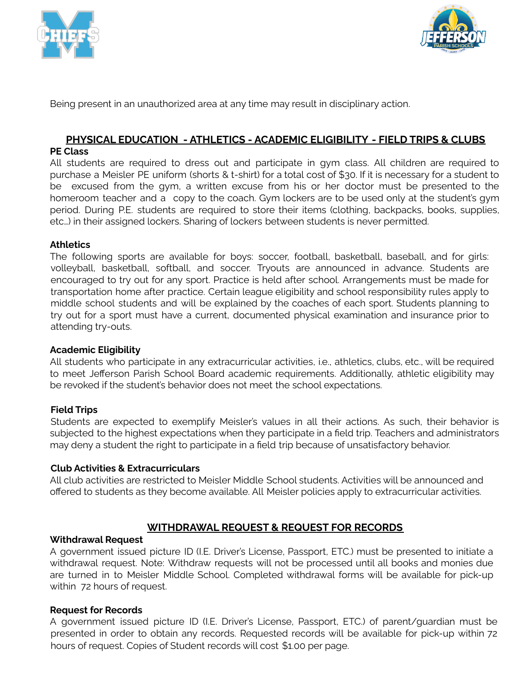



Being present in an unauthorized area at any time may result in disciplinary action.

# **PHYSICAL EDUCATION - ATHLETICS - ACADEMIC ELIGIBILITY - FIELD TRIPS & CLUBS**

#### **PE Class**

All students are required to dress out and participate in gym class. All children are required to purchase a Meisler PE uniform (shorts & t-shirt) for a total cost of \$30. If it is necessary for a student to be excused from the gym, a written excuse from his or her doctor must be presented to the homeroom teacher and a copy to the coach. Gym lockers are to be used only at the student's gym period. During P.E. students are required to store their items (clothing, backpacks, books, supplies, etc…) in their assigned lockers. Sharing of lockers between students is never permitted.

## **Athletics**

The following sports are available for boys: soccer, football, basketball, baseball, and for girls: volleyball, basketball, softball, and soccer. Tryouts are announced in advance. Students are encouraged to try out for any sport. Practice is held after school. Arrangements must be made for transportation home after practice. Certain league eligibility and school responsibility rules apply to middle school students and will be explained by the coaches of each sport. Students planning to try out for a sport must have a current, documented physical examination and insurance prior to attending try-outs.

#### **Academic Eligibility**

All students who participate in any extracurricular activities, i.e., athletics, clubs, etc., will be required to meet Jefferson Parish School Board academic requirements. Additionally, athletic eligibility may be revoked if the student's behavior does not meet the school expectations.

## **Field Trips**

Students are expected to exemplify Meisler's values in all their actions. As such, their behavior is subjected to the highest expectations when they participate in a field trip. Teachers and administrators may deny a student the right to participate in a field trip because of unsatisfactory behavior.

#### **Club Activities & Extracurriculars**

All club activities are restricted to Meisler Middle School students. Activities will be announced and offered to students as they become available. All Meisler policies apply to extracurricular activities.

## **WITHDRAWAL REQUEST & REQUEST FOR RECORDS**

#### **Withdrawal Request**

A government issued picture ID (I.E. Driver's License, Passport, ETC.) must be presented to initiate a withdrawal request. Note: Withdraw requests will not be processed until all books and monies due are turned in to Meisler Middle School. Completed withdrawal forms will be available for pick-up within 72 hours of request.

#### **Request for Records**

A government issued picture ID (I.E. Driver's License, Passport, ETC.) of parent/guardian must be presented in order to obtain any records. Requested records will be available for pick-up within 72 hours of request. Copies of Student records will cost \$1.00 per page.